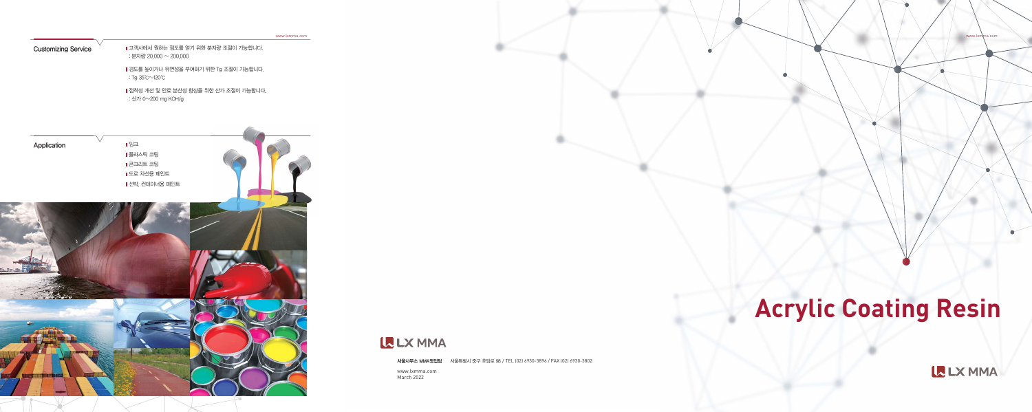www.lxmma.com March 2022

# **Acrylic Coating Resin**

L LX MMA

www.lxmma.com

 $\bullet$ 

 $M$ 울사무소 MMA영업팀 서울특별시 중구 후암로 98 / TEL (02) 6930-3896 / FAX (02) 6930-3802

www.lxmma.com

Customizing Service

Ⅱ 고객사에서 원하는 점도를 얻기 위한 분자량 조절이 가능합니다. : 분자량 20,000 ~ 200,000

**Ⅰ경도를 높이거나 유연성을 부여하기 위한 Tg 조절이 가능합니다.** : Tg $35^{\circ}$ C $\sim$ 120 $^{\circ}$ C

■ 접착성 개선 및 안료 분산성 향상을 위한 산가 조절이 가능합니다. : 산가 0~200 mg KOH/g

Application **Network** I 일크 ■ 플라스틱 코팅 **Ⅰ**콘크리트 코팅 ■ 도로 차선용 페인트 ▌선박, 컨테이너용 페인트